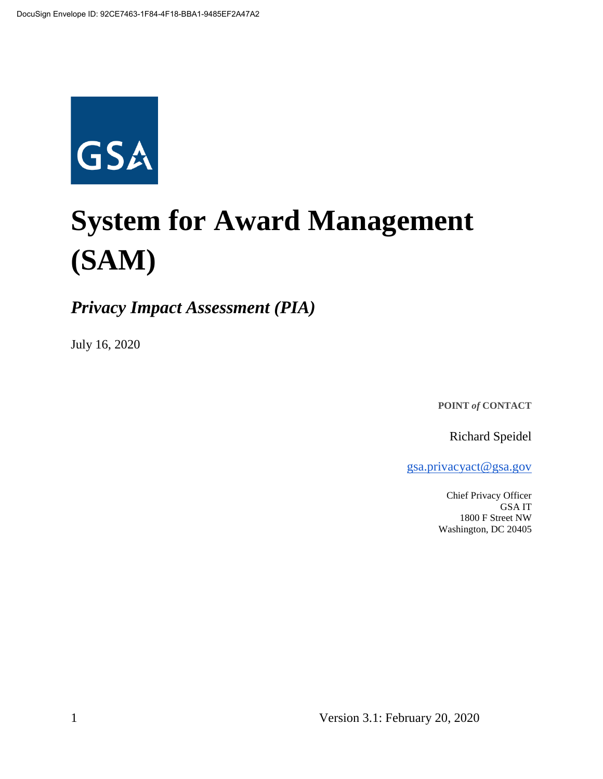

# **System for Award Management (SAM)**

*Privacy Impact Assessment (PIA)*

July 16, 2020

**POINT** *of* **CONTACT**

Richard Speidel

[gsa.privacyact@gsa.gov](mailto:gsa.privacyact@gsa.gov)

Chief Privacy Officer GSA IT 1800 F Street NW Washington, DC 20405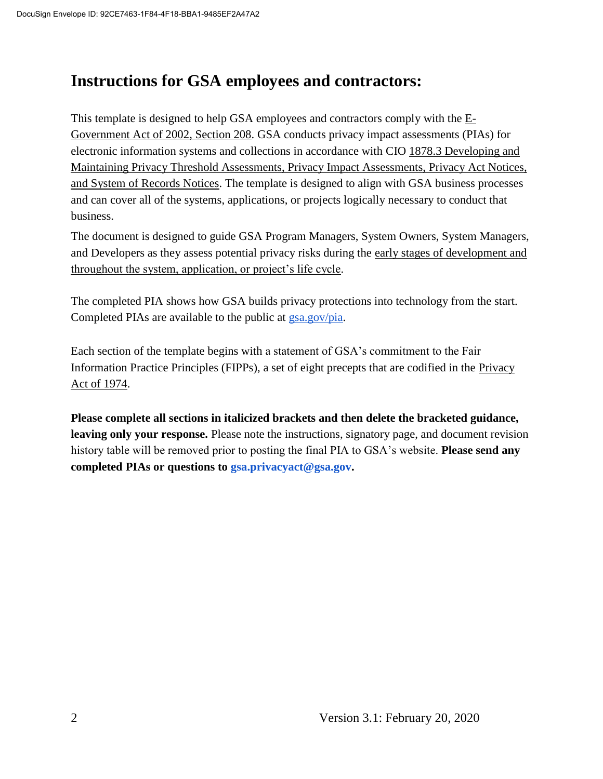# **Instructions for GSA employees and contractors:**

This t[e](https://www.justice.gov/opcl/e-government-act-2002)mplate is designed to help GSA employees and contractors comply with the  $E$ -[Government Act of 2002, Section 208.](https://www.justice.gov/opcl/e-government-act-2002) GSA conducts privacy impact assessments (PIAs) for electronic information systems and collections in accordance with [CIO 1878.3 Developing and](https://insite.gsa.gov/directives-library/developing-and-maintaining-privacy-threshold-assessments-privacy-impact-assessments-privacy-act-notices-and-system-of-records-notices-18783-cio)  [Maintaining Privacy Threshold Assessments, Privacy Impact Assessments, Privacy Act Notices,](https://insite.gsa.gov/directives-library/developing-and-maintaining-privacy-threshold-assessments-privacy-impact-assessments-privacy-act-notices-and-system-of-records-notices-18783-cio)  [and System of Records Notices.](https://insite.gsa.gov/directives-library/developing-and-maintaining-privacy-threshold-assessments-privacy-impact-assessments-privacy-act-notices-and-system-of-records-notices-18783-cio) The template is designed to align with GSA business processes and can cover all of the systems, applications, or projects logically necessary to conduct that business.

The document is designed to guide GSA Program Managers, System Owners, System Managers, and Developers as they assess potential privacy risks during th[e](https://insite.gsa.gov/cdnstatic/insite/Managing_Enterprise_Risk_%5BCIO_IT_Security_06-30_Rev_14%5D_02-01-2019.pdf) [early stages of development and](https://insite.gsa.gov/cdnstatic/insite/Managing_Enterprise_Risk_%5BCIO_IT_Security_06-30_Rev_14%5D_02-01-2019.pdf)  [throughout the system, application, or project's life cycle.](https://insite.gsa.gov/cdnstatic/insite/Managing_Enterprise_Risk_%5BCIO_IT_Security_06-30_Rev_14%5D_02-01-2019.pdf)

The completed PIA shows how GSA builds privacy protections into technology from the start. Completed PIAs are available to the public at [gsa.gov/pia.](https://www.gsa.gov/reference/gsa-privacy-program/privacy-impact-assessments-pia)

Each section of the template begins with a statement of GSA's commitment to the Fair Information Practice Principles (FIPPs), a set of eight precepts that are codified in the [Privacy](https://www.justice.gov/opcl/policy-objectives)  [Act of 1974.](https://www.justice.gov/opcl/policy-objectives)

**Please complete all sections in italicized brackets and then delete the bracketed guidance, leaving only your response.** Please note the instructions, signatory page, and document revision history table will be removed prior to posting the final PIA to GSA's website. **Please send any completed PIAs or questions to gsa.privacyact@gsa.gov.**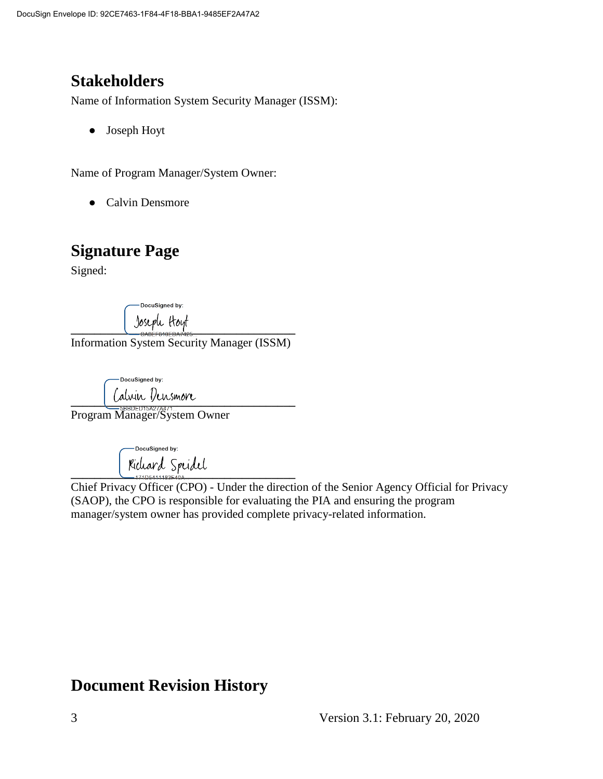# **Stakeholders**

Name of Information System Security Manager (ISSM):

● Joseph Hoyt

Name of Program Manager/System Owner:

• Calvin Densmore

# **Signature Page**

Signed:

DocuSigned by: **\_\_\_\_\_\_\_\_\_\_\_\_\_\_\_\_\_\_\_\_\_\_\_\_\_\_\_\_\_\_\_\_\_\_\_\_\_\_**

Information System Security Manager (ISSM)

DocuSigned by: **\_\_\_\_\_\_\_\_\_\_\_\_\_\_\_\_\_\_\_\_\_\_\_\_\_\_\_\_\_\_\_\_\_\_\_\_\_\_**

Program Manager/System Owner

DocuSigned by: **\_\_\_\_\_\_\_\_\_\_\_\_\_\_\_\_\_\_\_\_\_\_\_\_\_\_\_\_\_\_\_\_\_\_\_\_\_\_**

Chief Privacy Officer (CPO) - Under the direction of the Senior Agency Official for Privacy (SAOP), the CPO is responsible for evaluating the PIA and ensuring the program manager/system owner has provided complete privacy-related information.

# **Document Revision History**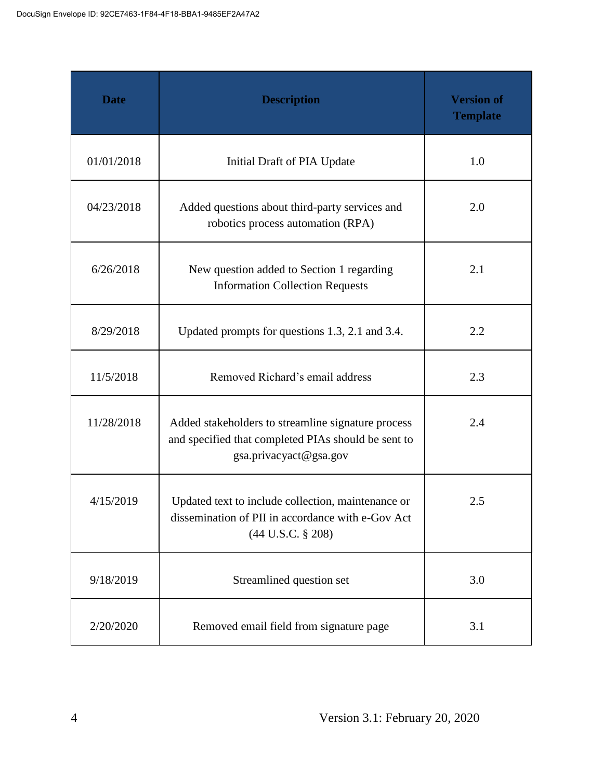| <b>Date</b> | <b>Description</b>                                                                                                                  | <b>Version of</b><br><b>Template</b> |
|-------------|-------------------------------------------------------------------------------------------------------------------------------------|--------------------------------------|
| 01/01/2018  | Initial Draft of PIA Update                                                                                                         | 1.0                                  |
| 04/23/2018  | Added questions about third-party services and<br>robotics process automation (RPA)                                                 | 2.0                                  |
| 6/26/2018   | New question added to Section 1 regarding<br><b>Information Collection Requests</b>                                                 | 2.1                                  |
| 8/29/2018   | Updated prompts for questions 1.3, 2.1 and 3.4.                                                                                     | 2.2                                  |
| 11/5/2018   | Removed Richard's email address                                                                                                     | 2.3                                  |
| 11/28/2018  | Added stakeholders to streamline signature process<br>and specified that completed PIAs should be sent to<br>gsa.privacyact@gsa.gov | 2.4                                  |
| 4/15/2019   | Updated text to include collection, maintenance or<br>dissemination of PII in accordance with e-Gov Act<br>$(44$ U.S.C. § 208)      | 2.5                                  |
| 9/18/2019   | Streamlined question set                                                                                                            | 3.0                                  |
| 2/20/2020   | Removed email field from signature page                                                                                             | 3.1                                  |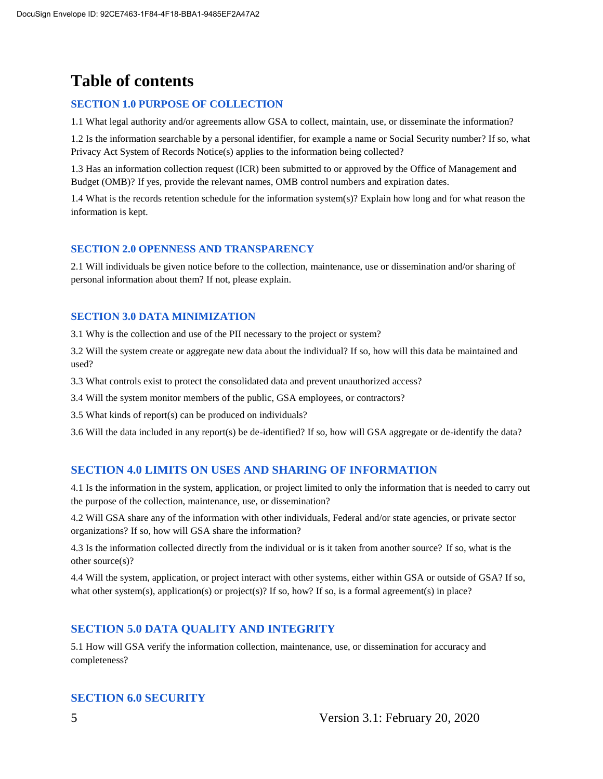# **Table of contents**

#### **SECTION 1.0 PURPOSE OF COLLECTION**

1.1 What legal authority and/or agreements allow GSA to collect, maintain, use, or disseminate the information?

1.2 Is the information searchable by a personal identifier, for example a name or Social Security number? If so, what Privacy Act System of Records Notice(s) applies to the information being collected?

1.3 Has an information collection request (ICR) been submitted to or approved by the Office of Management and Budget (OMB)? If yes, provide the relevant names, OMB control numbers and expiration dates.

1.4 What is the records retention schedule for the information system(s)? Explain how long and for what reason the information is kept.

#### **SECTION 2.0 OPENNESS AND TRANSPARENCY**

2.1 Will individuals be given notice before to the collection, maintenance, use or dissemination and/or sharing of personal information about them? If not, please explain.

#### **SECTION 3.0 DATA MINIMIZATION**

3.1 Why is the collection and use of the PII necessary to the project or system?

3.2 Will the system create or aggregate new data about the individual? If so, how will this data be maintained and used?

3.3 What controls exist to protect the consolidated data and prevent unauthorized access?

3.4 Will the system monitor members of the public, GSA employees, or contractors?

3.5 What kinds of report(s) can be produced on individuals?

3.6 Will the data included in any report(s) be de-identified? If so, how will GSA aggregate or de-identify the data?

#### **SECTION 4.0 LIMITS ON USES AND SHARING OF INFORMATION**

4.1 Is the information in the system, application, or project limited to only the information that is needed to carry out the purpose of the collection, maintenance, use, or dissemination?

4.2 Will GSA share any of the information with other individuals, Federal and/or state agencies, or private sector organizations? If so, how will GSA share the information?

4.3 Is the information collected directly from the individual or is it taken from another source? If so, what is the other source(s)?

4.4 Will the system, application, or project interact with other systems, either within GSA or outside of GSA? If so, what other system(s), application(s) or project(s)? If so, how? If so, is a formal agreement(s) in place?

#### **SECTION 5.0 DATA QUALITY AND INTEGRITY**

5.1 How will GSA verify the information collection, maintenance, use, or dissemination for accuracy and completeness?

#### **SECTION 6.0 SECURITY**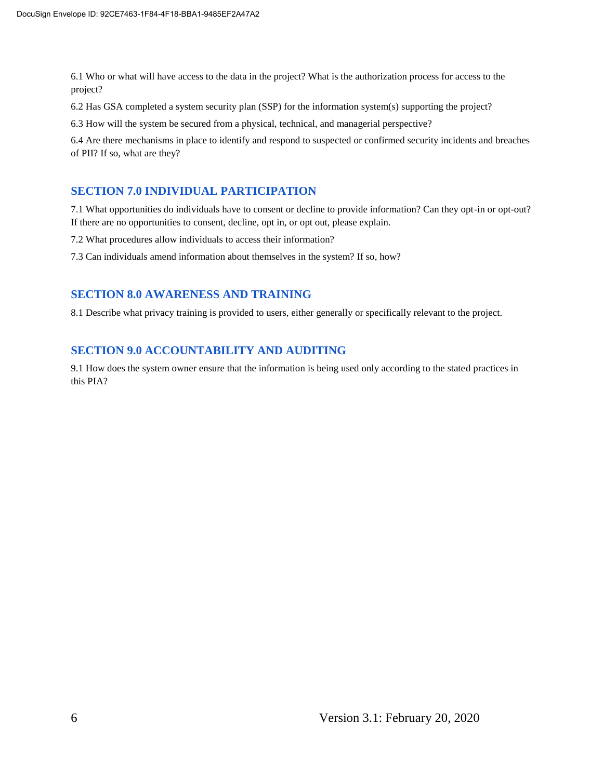6.1 Who or what will have access to the data in the project? What is the authorization process for access to the project?

6.2 Has GSA completed a system security plan (SSP) for the information system(s) supporting the project?

6.3 How will the system be secured from a physical, technical, and managerial perspective?

6.4 Are there mechanisms in place to identify and respond to suspected or confirmed security incidents and breaches of PII? If so, what are they?

#### **SECTION 7.0 INDIVIDUAL PARTICIPATION**

7.1 What opportunities do individuals have to consent or decline to provide information? Can they opt-in or opt-out? If there are no opportunities to consent, decline, opt in, or opt out, please explain.

7.2 What procedures allow individuals to access their information?

7.3 Can individuals amend information about themselves in the system? If so, how?

#### **SECTION 8.0 AWARENESS AND TRAINING**

8.1 Describe what privacy training is provided to users, either generally or specifically relevant to the project.

#### **SECTION 9.0 ACCOUNTABILITY AND AUDITING**

9.1 How does the system owner ensure that the information is being used only according to the stated practices in this PIA?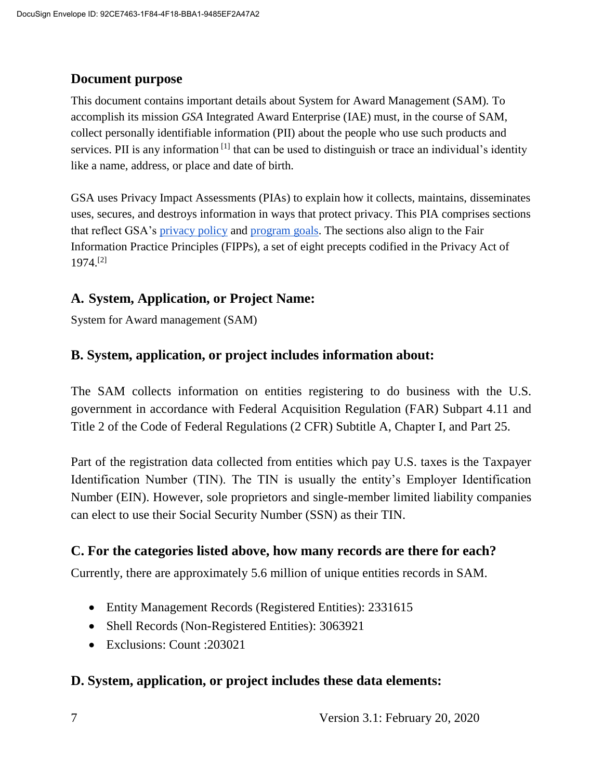#### **Document purpose**

This document contains important details about System for Award Management (SAM)*.* To accomplish its mission *GSA* Integrated Award Enterprise (IAE) must, in the course of SAM, collect personally identifiable information (PII) about the people who use such products and services. PII is any information<sup>[1]</sup> that can be used to distinguish or trace an individual's identity like a name, address, or place and date of birth.

GSA uses Privacy Impact Assessments (PIAs) to explain how it collects, maintains, disseminates uses, secures, and destroys information in ways that protect privacy. This PIA comprises sections that reflect GSA's [privacy policy](https://www.gsa.gov/website-information/privacy-and-security-notice) and [program goals.](https://www.gsa.gov/portal/category/21419) The sections also align to the Fair Information Practice Principles (FIPPs), a set of eight precepts codified in the Privacy Act of 1974.[2]

#### **A. System, Application, or Project Name:**

System for Award management (SAM)

#### **B. System, application, or project includes information about:**

The SAM collects information on entities registering to do business with the U.S. government in accordance with Federal Acquisition Regulation (FAR) Subpart 4.11 and Title 2 of the Code of Federal Regulations (2 CFR) Subtitle A, Chapter I, and Part 25.

Part of the registration data collected from entities which pay U.S. taxes is the Taxpayer Identification Number (TIN). The TIN is usually the entity's Employer Identification Number (EIN). However, sole proprietors and single-member limited liability companies can elect to use their Social Security Number (SSN) as their TIN.

#### **C. For the categories listed above, how many records are there for each?**

Currently, there are approximately 5.6 million of unique entities records in SAM.

- Entity Management Records (Registered Entities): 2331615
- Shell Records (Non-Registered Entities): 3063921
- Exclusions: Count : 203021

#### **D. System, application, or project includes these data elements:**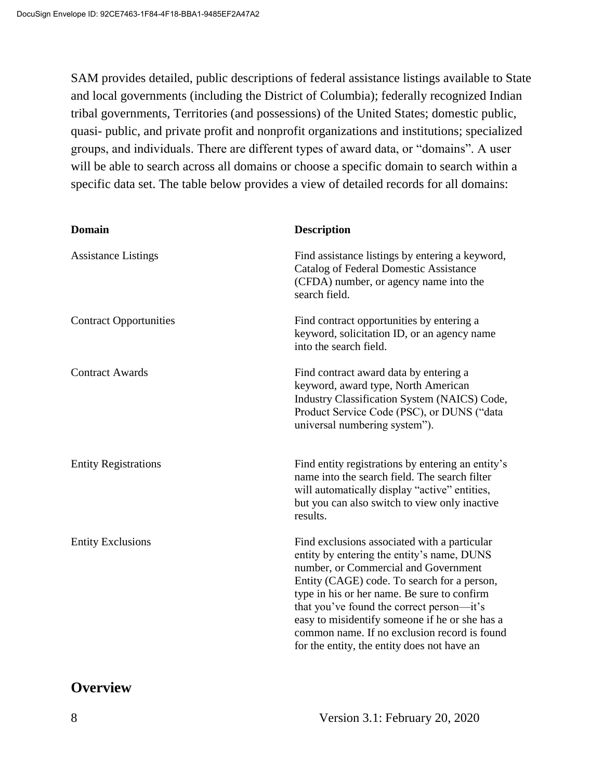SAM provides detailed, public descriptions of federal assistance listings available to State and local governments (including the District of Columbia); federally recognized Indian tribal governments, Territories (and possessions) of the United States; domestic public, quasi- public, and private profit and nonprofit organizations and institutions; specialized groups, and individuals. There are different types of award data, or "domains". A user will be able to search across all domains or choose a specific domain to search within a specific data set. The table below provides a view of detailed records for all domains:

| <b>Domain</b>                 | <b>Description</b>                                                                                                                                                                                                                                                                                                                                                                                                             |
|-------------------------------|--------------------------------------------------------------------------------------------------------------------------------------------------------------------------------------------------------------------------------------------------------------------------------------------------------------------------------------------------------------------------------------------------------------------------------|
| <b>Assistance Listings</b>    | Find assistance listings by entering a keyword,<br><b>Catalog of Federal Domestic Assistance</b><br>(CFDA) number, or agency name into the<br>search field.                                                                                                                                                                                                                                                                    |
| <b>Contract Opportunities</b> | Find contract opportunities by entering a<br>keyword, solicitation ID, or an agency name<br>into the search field.                                                                                                                                                                                                                                                                                                             |
| <b>Contract Awards</b>        | Find contract award data by entering a<br>keyword, award type, North American<br>Industry Classification System (NAICS) Code,<br>Product Service Code (PSC), or DUNS ("data<br>universal numbering system").                                                                                                                                                                                                                   |
| <b>Entity Registrations</b>   | Find entity registrations by entering an entity's<br>name into the search field. The search filter<br>will automatically display "active" entities,<br>but you can also switch to view only inactive<br>results.                                                                                                                                                                                                               |
| <b>Entity Exclusions</b>      | Find exclusions associated with a particular<br>entity by entering the entity's name, DUNS<br>number, or Commercial and Government<br>Entity (CAGE) code. To search for a person,<br>type in his or her name. Be sure to confirm<br>that you've found the correct person—it's<br>easy to misidentify someone if he or she has a<br>common name. If no exclusion record is found<br>for the entity, the entity does not have an |

## **Overview**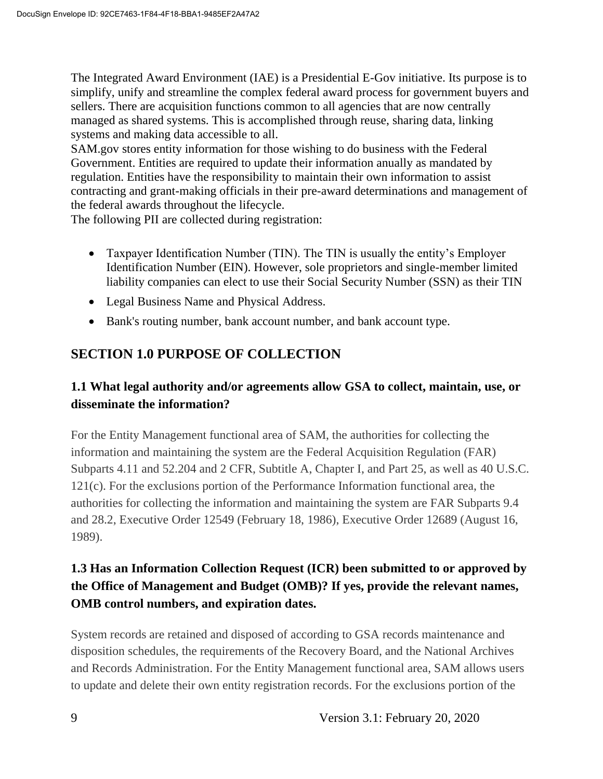The Integrated Award Environment (IAE) is a Presidential E-Gov initiative. Its purpose is to simplify, unify and streamline the complex federal award process for government buyers and sellers. There are acquisition functions common to all agencies that are now centrally managed as shared systems. This is accomplished through reuse, sharing data, linking systems and making data accessible to all.

SAM.gov stores entity information for those wishing to do business with the Federal Government. Entities are required to update their information anually as mandated by regulation. Entities have the responsibility to maintain their own information to assist contracting and grant-making officials in their pre-award determinations and management of the federal awards throughout the lifecycle.

The following PII are collected during registration:

- Taxpayer Identification Number (TIN). The TIN is usually the entity's Employer Identification Number (EIN). However, sole proprietors and single-member limited liability companies can elect to use their Social Security Number (SSN) as their TIN
- Legal Business Name and Physical Address.
- Bank's routing number, bank account number, and bank account type.

## **SECTION 1.0 PURPOSE OF COLLECTION**

#### **1.1 What legal authority and/or agreements allow GSA to collect, maintain, use, or disseminate the information?**

For the Entity Management functional area of SAM, the authorities for collecting the information and maintaining the system are the Federal Acquisition Regulation (FAR) Subparts 4.11 and 52.204 and 2 CFR, Subtitle A, Chapter I, and Part 25, as well as 40 U.S.C. 121(c). For the exclusions portion of the Performance Information functional area, the authorities for collecting the information and maintaining the system are FAR Subparts 9.4 and 28.2, Executive Order 12549 (February 18, 1986), Executive Order 12689 (August 16, 1989).

## **1.3 Has an Information Collection Request (ICR) been submitted to or approved by the Office of Management and Budget (OMB)? If yes, provide the relevant names, OMB control numbers, and expiration dates.**

System records are retained and disposed of according to GSA records maintenance and disposition schedules, the requirements of the Recovery Board, and the National Archives and Records Administration. For the Entity Management functional area, SAM allows users to update and delete their own entity registration records. For the exclusions portion of the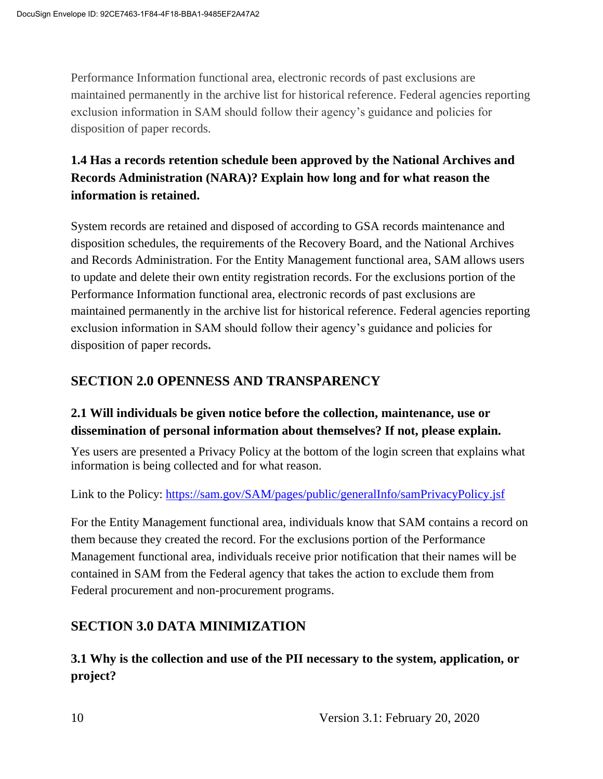Performance Information functional area, electronic records of past exclusions are maintained permanently in the archive list for historical reference. Federal agencies reporting exclusion information in SAM should follow their agency's guidance and policies for disposition of paper records.

## **1.4 Has a records retention schedule been approved by the National Archives and Records Administration (NARA)? Explain how long and for what reason the information is retained.**

System records are retained and disposed of according to GSA records maintenance and disposition schedules, the requirements of the Recovery Board, and the National Archives and Records Administration. For the Entity Management functional area, SAM allows users to update and delete their own entity registration records. For the exclusions portion of the Performance Information functional area, electronic records of past exclusions are maintained permanently in the archive list for historical reference. Federal agencies reporting exclusion information in SAM should follow their agency's guidance and policies for disposition of paper records**.** 

#### **SECTION 2.0 OPENNESS AND TRANSPARENCY**

#### **2.1 Will individuals be given notice before the collection, maintenance, use or dissemination of personal information about themselves? If not, please explain.**

Yes users are presented a Privacy Policy at the bottom of the login screen that explains what information is being collected and for what reason.

Link to the Policy:<https://sam.gov/SAM/pages/public/generalInfo/samPrivacyPolicy.jsf>

For the Entity Management functional area, individuals know that SAM contains a record on them because they created the record. For the exclusions portion of the Performance Management functional area, individuals receive prior notification that their names will be contained in SAM from the Federal agency that takes the action to exclude them from Federal procurement and non-procurement programs.

## **SECTION 3.0 DATA MINIMIZATION**

**3.1 Why is the collection and use of the PII necessary to the system, application, or project?**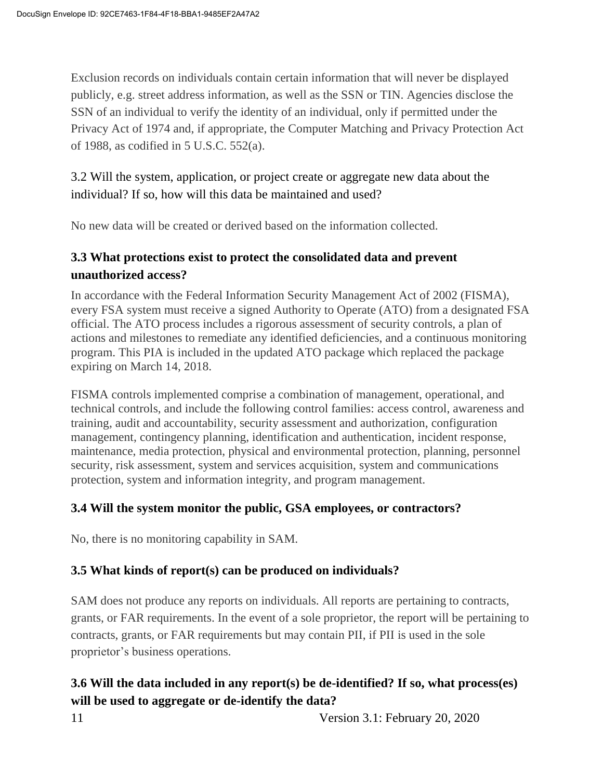Exclusion records on individuals contain certain information that will never be displayed publicly, e.g. street address information, as well as the SSN or TIN. Agencies disclose the SSN of an individual to verify the identity of an individual, only if permitted under the Privacy Act of 1974 and, if appropriate, the Computer Matching and Privacy Protection Act of 1988, as codified in 5 U.S.C. 552(a).

3.2 Will the system, application, or project create or aggregate new data about the individual? If so, how will this data be maintained and used?

No new data will be created or derived based on the information collected.

#### **3.3 What protections exist to protect the consolidated data and prevent unauthorized access?**

In accordance with the Federal Information Security Management Act of 2002 (FISMA), every FSA system must receive a signed Authority to Operate (ATO) from a designated FSA official. The ATO process includes a rigorous assessment of security controls, a plan of actions and milestones to remediate any identified deficiencies, and a continuous monitoring program. This PIA is included in the updated ATO package which replaced the package expiring on March 14, 2018.

FISMA controls implemented comprise a combination of management, operational, and technical controls, and include the following control families: access control, awareness and training, audit and accountability, security assessment and authorization, configuration management, contingency planning, identification and authentication, incident response, maintenance, media protection, physical and environmental protection, planning, personnel security, risk assessment, system and services acquisition, system and communications protection, system and information integrity, and program management.

#### **3.4 Will the system monitor the public, GSA employees, or contractors?**

No, there is no monitoring capability in SAM.

#### **3.5 What kinds of report(s) can be produced on individuals?**

SAM does not produce any reports on individuals. All reports are pertaining to contracts, grants, or FAR requirements. In the event of a sole proprietor, the report will be pertaining to contracts, grants, or FAR requirements but may contain PII, if PII is used in the sole proprietor's business operations.

## **3.6 Will the data included in any report(s) be de-identified? If so, what process(es) will be used to aggregate or de-identify the data?**

11 Version 3.1: February 20, 2020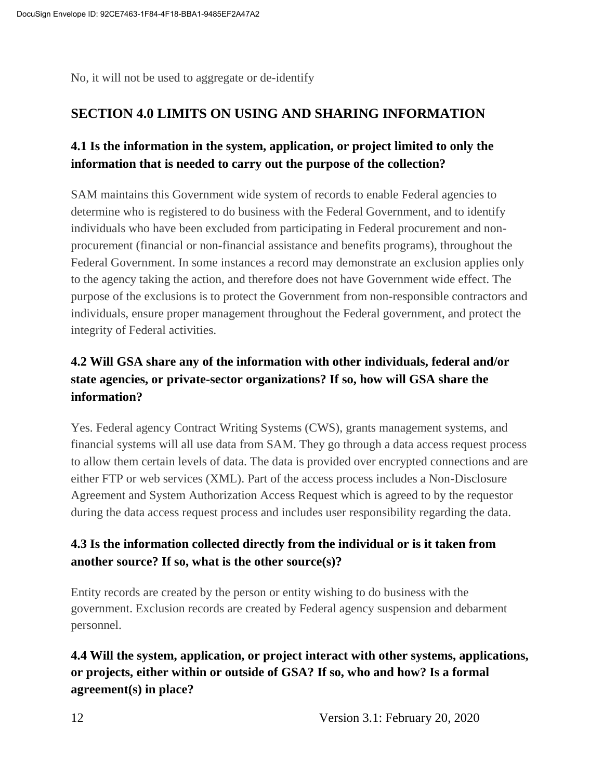No, it will not be used to aggregate or de-identify

#### **SECTION 4.0 LIMITS ON USING AND SHARING INFORMATION**

#### **4.1 Is the information in the system, application, or project limited to only the information that is needed to carry out the purpose of the collection?**

SAM maintains this Government wide system of records to enable Federal agencies to determine who is registered to do business with the Federal Government, and to identify individuals who have been excluded from participating in Federal procurement and nonprocurement (financial or non-financial assistance and benefits programs), throughout the Federal Government. In some instances a record may demonstrate an exclusion applies only to the agency taking the action, and therefore does not have Government wide effect. The purpose of the exclusions is to protect the Government from non-responsible contractors and individuals, ensure proper management throughout the Federal government, and protect the integrity of Federal activities.

## **4.2 Will GSA share any of the information with other individuals, federal and/or state agencies, or private-sector organizations? If so, how will GSA share the information?**

Yes. Federal agency Contract Writing Systems (CWS), grants management systems, and financial systems will all use data from SAM. They go through a data access request process to allow them certain levels of data. The data is provided over encrypted connections and are either FTP or web services (XML). Part of the access process includes a Non-Disclosure Agreement and System Authorization Access Request which is agreed to by the requestor during the data access request process and includes user responsibility regarding the data.

#### **4.3 Is the information collected directly from the individual or is it taken from another source? If so, what is the other source(s)?**

Entity records are created by the person or entity wishing to do business with the government. Exclusion records are created by Federal agency suspension and debarment personnel.

**4.4 Will the system, application, or project interact with other systems, applications, or projects, either within or outside of GSA? If so, who and how? Is a formal agreement(s) in place?**

12 Version 3.1: February 20, 2020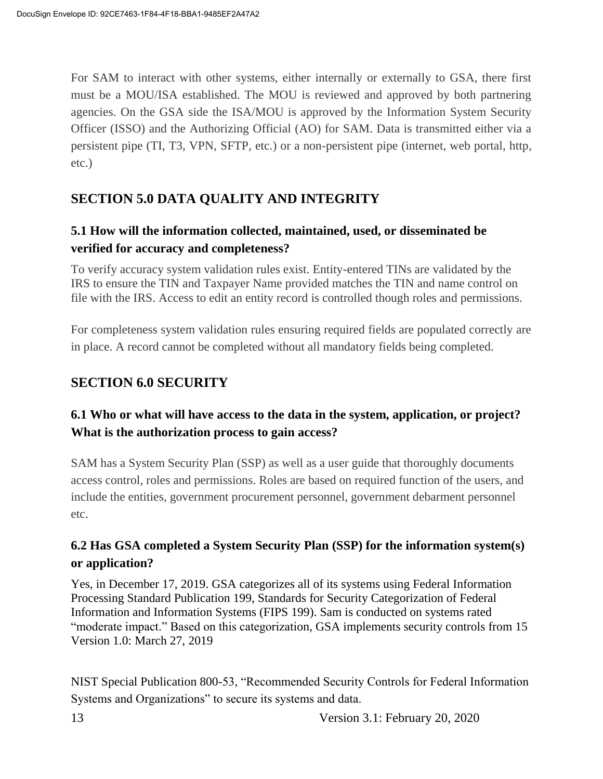For SAM to interact with other systems, either internally or externally to GSA, there first must be a MOU/ISA established. The MOU is reviewed and approved by both partnering agencies. On the GSA side the ISA/MOU is approved by the Information System Security Officer (ISSO) and the Authorizing Official (AO) for SAM. Data is transmitted either via a persistent pipe (TI, T3, VPN, SFTP, etc.) or a non-persistent pipe (internet, web portal, http, etc.)

## **SECTION 5.0 DATA QUALITY AND INTEGRITY**

#### **5.1 How will the information collected, maintained, used, or disseminated be verified for accuracy and completeness?**

To verify accuracy system validation rules exist. Entity-entered TINs are validated by the IRS to ensure the TIN and Taxpayer Name provided matches the TIN and name control on file with the IRS. Access to edit an entity record is controlled though roles and permissions.

For completeness system validation rules ensuring required fields are populated correctly are in place. A record cannot be completed without all mandatory fields being completed.

#### **SECTION 6.0 SECURITY**

#### **6.1 Who or what will have access to the data in the system, application, or project? What is the authorization process to gain access?**

SAM has a System Security Plan (SSP) as well as a user guide that thoroughly documents access control, roles and permissions. Roles are based on required function of the users, and include the entities, government procurement personnel, government debarment personnel etc.

#### **6.2 Has GSA completed a System Security Plan (SSP) for the information system(s) or application?**

Yes, in December 17, 2019. GSA categorizes all of its systems using Federal Information Processing Standard Publication 199, Standards for Security Categorization of Federal Information and Information Systems (FIPS 199). Sam is conducted on systems rated "moderate impact." Based on this categorization, GSA implements security controls from 15 Version 1.0: March 27, 2019

NIST Special Publication 800-53, "Recommended Security Controls for Federal Information Systems and Organizations" to secure its systems and data.

13 Version 3.1: February 20, 2020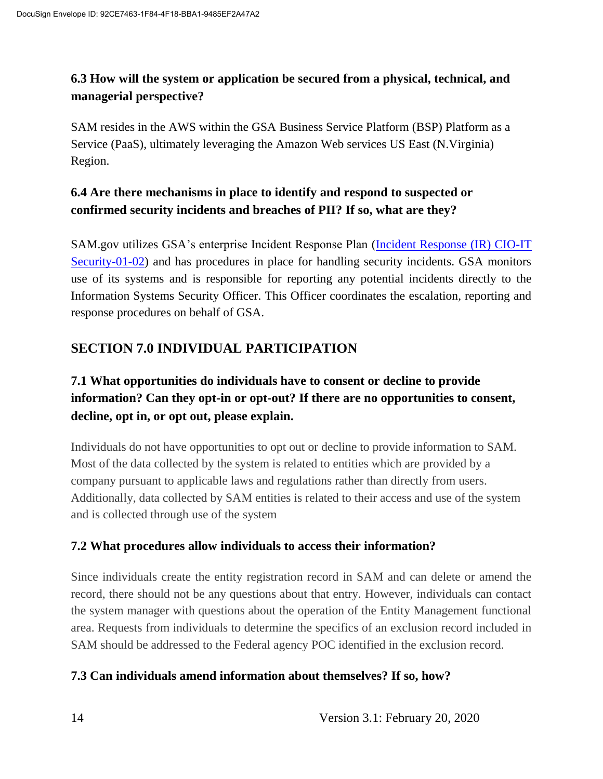#### **6.3 How will the system or application be secured from a physical, technical, and managerial perspective?**

SAM resides in the AWS within the GSA Business Service Platform (BSP) Platform as a Service (PaaS), ultimately leveraging the Amazon Web services US East (N.Virginia) Region.

#### **6.4 Are there mechanisms in place to identify and respond to suspected or confirmed security incidents and breaches of PII? If so, what are they?**

SAM.gov utilizes GSA's enterprise Incident Response Plan [\(Incident Response \(IR\) CIO-IT](https://insite.gsa.gov/cdnstatic/insite/Incident_Response_%28IR%29_%5BCIO_IT_Security_01-02_Rev_17%5D_03-20-2019_Signed_BB.pdf)  [Security-01-02\)](https://insite.gsa.gov/cdnstatic/insite/Incident_Response_%28IR%29_%5BCIO_IT_Security_01-02_Rev_17%5D_03-20-2019_Signed_BB.pdf) and has procedures in place for handling security incidents. GSA monitors use of its systems and is responsible for reporting any potential incidents directly to the Information Systems Security Officer. This Officer coordinates the escalation, reporting and response procedures on behalf of GSA.

## **SECTION 7.0 INDIVIDUAL PARTICIPATION**

## **7.1 What opportunities do individuals have to consent or decline to provide information? Can they opt-in or opt-out? If there are no opportunities to consent, decline, opt in, or opt out, please explain.**

Individuals do not have opportunities to opt out or decline to provide information to SAM. Most of the data collected by the system is related to entities which are provided by a company pursuant to applicable laws and regulations rather than directly from users. Additionally, data collected by SAM entities is related to their access and use of the system and is collected through use of the system

#### **7.2 What procedures allow individuals to access their information?**

Since individuals create the entity registration record in SAM and can delete or amend the record, there should not be any questions about that entry. However, individuals can contact the system manager with questions about the operation of the Entity Management functional area. Requests from individuals to determine the specifics of an exclusion record included in SAM should be addressed to the Federal agency POC identified in the exclusion record.

#### **7.3 Can individuals amend information about themselves? If so, how?**